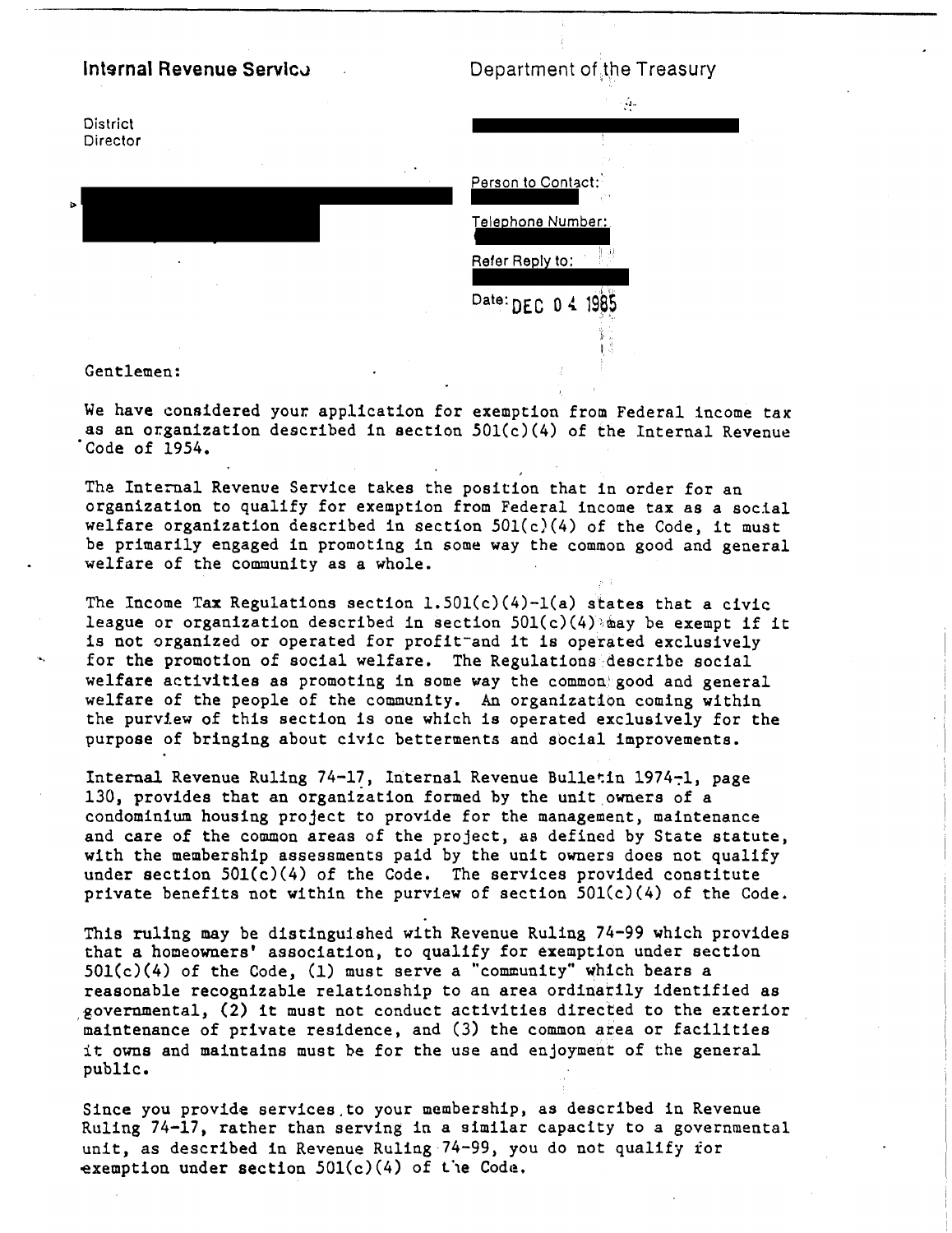## Internal Revenue Servico

Department of the Treasury



## Gentlemen:

We have considered your application for exemption from Federal income tax as an organization described in section 501(c)(4) of the Internal Revenue Code of 1954.

The Internal Revenue Service takes the position that in order for an organization to qualify for exemption from Federal income tax as a social welfare organization described in section  $501(c)(4)$  of the Code, it must be primarily engaged in promoting in some way the common good and general welfare of the community as a whole.

The Income Tax Regulations section 1.501(c)(4)-1(a) states that a civic league or organization described in section  $501(c)(4)$  asy be exempt if it is not organized or operated for profittand it is operated exclusively for the promotion of social welfare. The Regulations describe social welfare activities as promoting in some way the common good and general welfare of the people of the community. An organization coming within the purview of this section is one which is operated exclusively for the purpose of bringing about civic betterments and social improvements.

Internal Revenue Ruling 74-17, Internal Revenue Bulletin 1974-1, page 130, provides that an organization formed by the unit owners of a condominium housing project to provide for the management, maintenance and care of the common areas of the project, as defined by State statute, with the membership assessments paid by the unit owners does not qualify under section  $501(c)(4)$  of the Code. The services provided constitute private benefits not within the purview of section  $501(c)(4)$  of the Code.

This ruling may be distinguished with Revenue Ruling 74-99 which provides that a homeowners' association, to qualify for exemption under section  $501(c)(4)$  of the Code, (1) must serve a "community" which bears a reasonable recognizable relationship to an area ordinarily identified as governmental, (2) it must not conduct activities directed to the exterior maintenance of private residence, and (3) the common area or facilities it owns and maintains must be for the use and enjoyment of the general public.

Since you provide services to your membership, as described in Revenue Ruling 74-17, rather than serving in a similar capacity to a governmental unit, as described in Revenue Ruling 74-99, you do not qualify for exemption under section  $501(c)(4)$  of the Code.